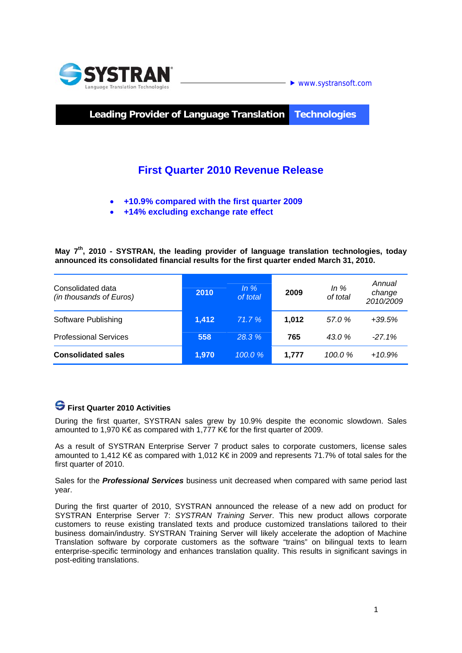

**Leading Provider of Language Translation Technologies** 

## **First Quarter 2010 Revenue Release**

- **+10.9% compared with the first quarter 2009**
- **+14% excluding exchange rate effect**

**May 7th, 2010 - SYSTRAN, the leading provider of language translation technologies, today announced its consolidated financial results for the first quarter ended March 31, 2010.** 

| Consolidated data<br>(in thousands of Euros) | 2010  | In $%$<br>of total | 2009  | In $%$<br>of total | Annual<br>change<br>2010/2009 |
|----------------------------------------------|-------|--------------------|-------|--------------------|-------------------------------|
| Software Publishing                          | 1.412 | 71.7%              | 1.012 | 57.0 %             | $+39.5%$                      |
| <b>Professional Services</b>                 | 558   | 28.3%              | 765   | 43.0 %             | $-27.1%$                      |
| <b>Consolidated sales</b>                    | 1,970 | 100.0%             | 1,777 | 100.0 %            | $+10.9%$                      |

### **First Quarter 2010 Activities**

During the first quarter, SYSTRAN sales grew by 10.9% despite the economic slowdown. Sales amounted to 1,970 K€ as compared with 1,777 K€ for the first quarter of 2009.

As a result of SYSTRAN Enterprise Server 7 product sales to corporate customers, license sales amounted to 1,412 K€ as compared with 1,012 K€ in 2009 and represents 71.7% of total sales for the first quarter of 2010.

Sales for the *Professional Services* business unit decreased when compared with same period last year.

During the first quarter of 2010, SYSTRAN announced the release of a new add on product for SYSTRAN Enterprise Server 7: *SYSTRAN Training Server*. This new product allows corporate customers to reuse existing translated texts and produce customized translations tailored to their business domain/industry. SYSTRAN Training Server will likely accelerate the adoption of Machine Translation software by corporate customers as the software "trains" on bilingual texts to learn enterprise-specific terminology and enhances translation quality. This results in significant savings in post-editing translations.